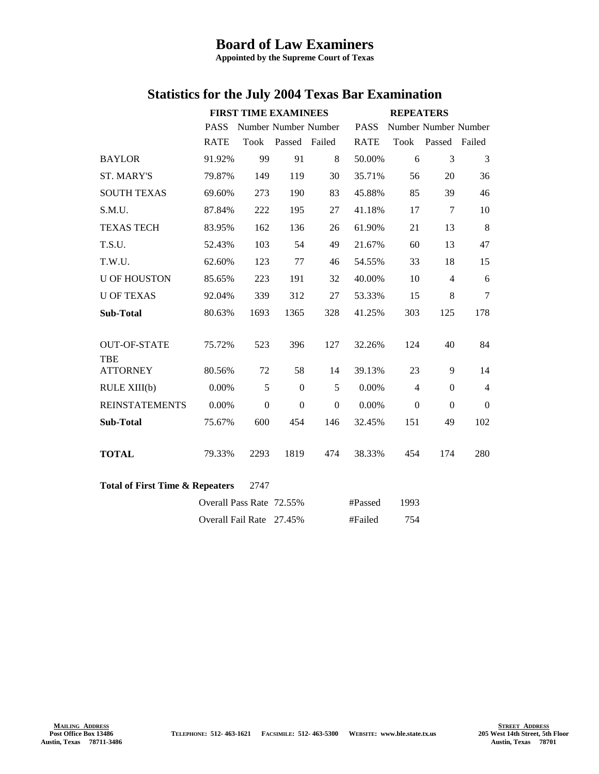## **Board of Law Examiners**

**Appointed by the Supreme Court of Texas**

|                                                    | <b>FIRST TIME EXAMINEES</b> |                  |                      | <b>REPEATERS</b> |             |                |                      |                |
|----------------------------------------------------|-----------------------------|------------------|----------------------|------------------|-------------|----------------|----------------------|----------------|
|                                                    | <b>PASS</b>                 |                  | Number Number Number |                  | <b>PASS</b> |                | Number Number Number |                |
|                                                    | <b>RATE</b>                 | Took             | Passed Failed        |                  | <b>RATE</b> | <b>Took</b>    | Passed Failed        |                |
| <b>BAYLOR</b>                                      | 91.92%                      | 99               | 91                   | 8                | 50.00%      | 6              | 3                    | 3              |
| <b>ST. MARY'S</b>                                  | 79.87%                      | 149              | 119                  | 30               | 35.71%      | 56             | 20                   | 36             |
| <b>SOUTH TEXAS</b>                                 | 69.60%                      | 273              | 190                  | 83               | 45.88%      | 85             | 39                   | 46             |
| S.M.U.                                             | 87.84%                      | 222              | 195                  | 27               | 41.18%      | 17             | $\tau$               | 10             |
| <b>TEXAS TECH</b>                                  | 83.95%                      | 162              | 136                  | 26               | 61.90%      | 21             | 13                   | 8              |
| T.S.U.                                             | 52.43%                      | 103              | 54                   | 49               | 21.67%      | 60             | 13                   | 47             |
| T.W.U.                                             | 62.60%                      | 123              | 77                   | 46               | 54.55%      | 33             | 18                   | 15             |
| <b>U OF HOUSTON</b>                                | 85.65%                      | 223              | 191                  | 32               | 40.00%      | 10             | $\overline{4}$       | 6              |
| <b>U OF TEXAS</b>                                  | 92.04%                      | 339              | 312                  | 27               | 53.33%      | 15             | 8                    | $\tau$         |
| <b>Sub-Total</b>                                   | 80.63%                      | 1693             | 1365                 | 328              | 41.25%      | 303            | 125                  | 178            |
|                                                    |                             |                  |                      |                  |             |                |                      |                |
| <b>OUT-OF-STATE</b>                                | 75.72%                      | 523              | 396                  | 127              | 32.26%      | 124            | 40                   | 84             |
| TBE                                                |                             |                  |                      |                  |             |                |                      |                |
| <b>ATTORNEY</b>                                    | 80.56%                      | 72               | 58                   | 14               | 39.13%      | 23             | 9                    | 14             |
| RULE XIII(b)                                       | 0.00%                       | 5                | $\Omega$             | 5                | 0.00%       | $\overline{4}$ | $\Omega$             | $\overline{4}$ |
| <b>REINSTATEMENTS</b>                              | 0.00%                       | $\boldsymbol{0}$ | $\boldsymbol{0}$     | $\Omega$         | 0.00%       | $\mathbf{0}$   | $\Omega$             | $\Omega$       |
| <b>Sub-Total</b>                                   | 75.67%                      | 600              | 454                  | 146              | 32.45%      | 151            | 49                   | 102            |
|                                                    |                             |                  |                      |                  |             |                |                      |                |
| <b>TOTAL</b>                                       | 79.33%                      | 2293             | 1819                 | 474              | 38.33%      | 454            | 174                  | 280            |
|                                                    |                             |                  |                      |                  |             |                |                      |                |
| <b>Total of First Time &amp; Repeaters</b><br>2747 |                             |                  |                      |                  |             |                |                      |                |
|                                                    | Overall Pass Rate 72.55%    |                  |                      |                  | #Passed     | 1993           |                      |                |
|                                                    | Overall Fail Rate 27.45%    |                  |                      |                  | #Failed     | 754            |                      |                |

## **Statistics for the July 2004 Texas Bar Examination**